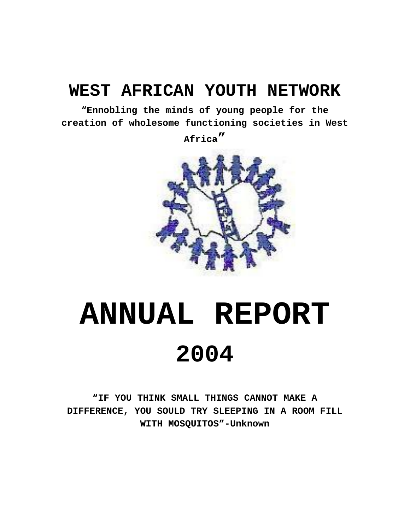# **WEST AFRICAN YOUTH NETWORK**

**"Ennobling the minds of young people for the creation of wholesome functioning societies in West** 

**Africa"** 



# **ANNUAL REPORT 2004**

**"IF YOU THINK SMALL THINGS CANNOT MAKE A DIFFERENCE, YOU SOULD TRY SLEEPING IN A ROOM FILL WITH MOSQUITOS"-Unknown**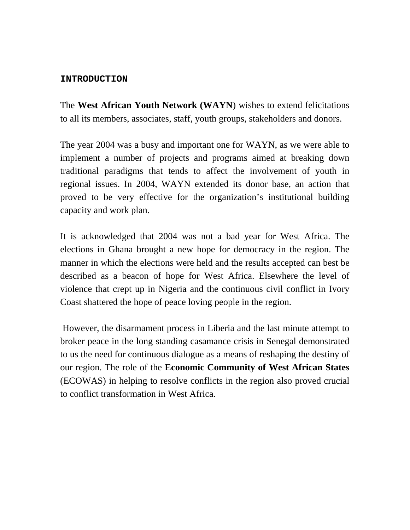#### **INTRODUCTION**

The **West African Youth Network (WAYN**) wishes to extend felicitations to all its members, associates, staff, youth groups, stakeholders and donors.

The year 2004 was a busy and important one for WAYN, as we were able to implement a number of projects and programs aimed at breaking down traditional paradigms that tends to affect the involvement of youth in regional issues. In 2004, WAYN extended its donor base, an action that proved to be very effective for the organization's institutional building capacity and work plan.

It is acknowledged that 2004 was not a bad year for West Africa. The elections in Ghana brought a new hope for democracy in the region. The manner in which the elections were held and the results accepted can best be described as a beacon of hope for West Africa. Elsewhere the level of violence that crept up in Nigeria and the continuous civil conflict in Ivory Coast shattered the hope of peace loving people in the region.

 However, the disarmament process in Liberia and the last minute attempt to broker peace in the long standing casamance crisis in Senegal demonstrated to us the need for continuous dialogue as a means of reshaping the destiny of our region. The role of the **Economic Community of West African States**  (ECOWAS) in helping to resolve conflicts in the region also proved crucial to conflict transformation in West Africa.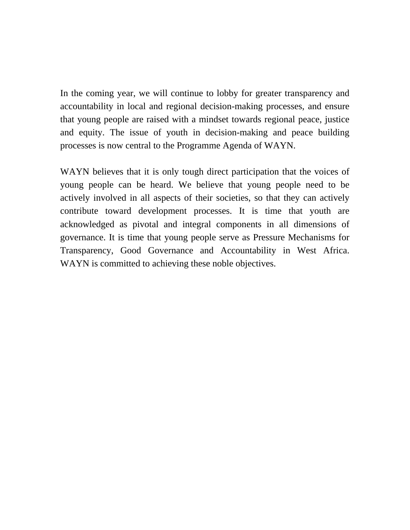In the coming year, we will continue to lobby for greater transparency and accountability in local and regional decision-making processes, and ensure that young people are raised with a mindset towards regional peace, justice and equity. The issue of youth in decision-making and peace building processes is now central to the Programme Agenda of WAYN.

WAYN believes that it is only tough direct participation that the voices of young people can be heard. We believe that young people need to be actively involved in all aspects of their societies, so that they can actively contribute toward development processes. It is time that youth are acknowledged as pivotal and integral components in all dimensions of governance. It is time that young people serve as Pressure Mechanisms for Transparency, Good Governance and Accountability in West Africa. WAYN is committed to achieving these noble objectives.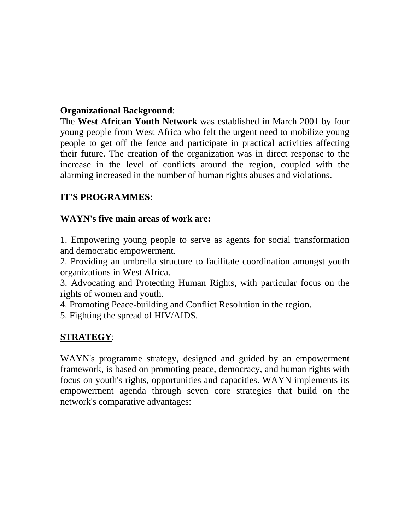# **Organizational Background**:

The **West African Youth Network** was established in March 2001 by four young people from West Africa who felt the urgent need to mobilize young people to get off the fence and participate in practical activities affecting their future. The creation of the organization was in direct response to the increase in the level of conflicts around the region, coupled with the alarming increased in the number of human rights abuses and violations.

# **IT'S PROGRAMMES:**

# **WAYN's five main areas of work are:**

1. Empowering young people to serve as agents for social transformation and democratic empowerment.

2. Providing an umbrella structure to facilitate coordination amongst youth organizations in West Africa.

3. Advocating and Protecting Human Rights, with particular focus on the rights of women and youth.

4. Promoting Peace-building and Conflict Resolution in the region.

5. Fighting the spread of HIV/AIDS.

# **STRATEGY**:

WAYN's programme strategy, designed and guided by an empowerment framework, is based on promoting peace, democracy, and human rights with focus on youth's rights, opportunities and capacities. WAYN implements its empowerment agenda through seven core strategies that build on the network's comparative advantages: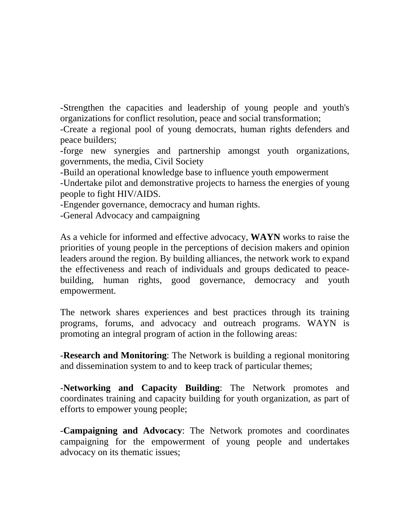-Strengthen the capacities and leadership of young people and youth's organizations for conflict resolution, peace and social transformation;

-Create a regional pool of young democrats, human rights defenders and peace builders;

-forge new synergies and partnership amongst youth organizations, governments, the media, Civil Society

-Build an operational knowledge base to influence youth empowerment

-Undertake pilot and demonstrative projects to harness the energies of young people to fight HIV/AIDS.

-Engender governance, democracy and human rights.

-General Advocacy and campaigning

As a vehicle for informed and effective advocacy, **WAYN** works to raise the priorities of young people in the perceptions of decision makers and opinion leaders around the region. By building alliances, the network work to expand the effectiveness and reach of individuals and groups dedicated to peacebuilding, human rights, good governance, democracy and youth empowerment.

The network shares experiences and best practices through its training programs, forums, and advocacy and outreach programs. WAYN is promoting an integral program of action in the following areas:

-**Research and Monitoring**: The Network is building a regional monitoring and dissemination system to and to keep track of particular themes;

-**Networking and Capacity Building**: The Network promotes and coordinates training and capacity building for youth organization, as part of efforts to empower young people;

-**Campaigning and Advocacy**: The Network promotes and coordinates campaigning for the empowerment of young people and undertakes advocacy on its thematic issues;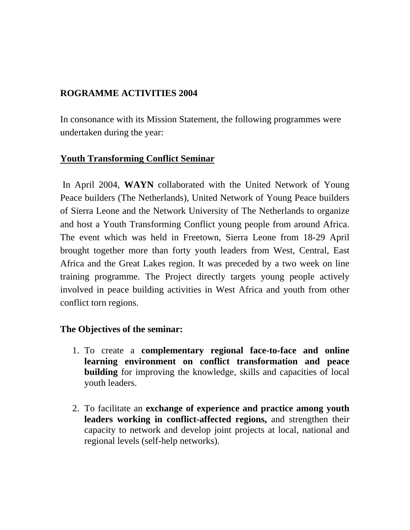# **ROGRAMME ACTIVITIES 2004**

In consonance with its Mission Statement, the following programmes were undertaken during the year:

# **Youth Transforming Conflict Seminar**

 In April 2004, **WAYN** collaborated with the United Network of Young Peace builders (The Netherlands), United Network of Young Peace builders of Sierra Leone and the Network University of The Netherlands to organize and host a Youth Transforming Conflict young people from around Africa. The event which was held in Freetown, Sierra Leone from 18-29 April brought together more than forty youth leaders from West, Central, East Africa and the Great Lakes region. It was preceded by a two week on line training programme. The Project directly targets young people actively involved in peace building activities in West Africa and youth from other conflict torn regions.

# **The Objectives of the seminar:**

- 1. To create a **complementary regional face-to-face and online learning environment on conflict transformation and peace building** for improving the knowledge, skills and capacities of local youth leaders.
- 2. To facilitate an **exchange of experience and practice among youth leaders working in conflict-affected regions,** and strengthen their capacity to network and develop joint projects at local, national and regional levels (self-help networks).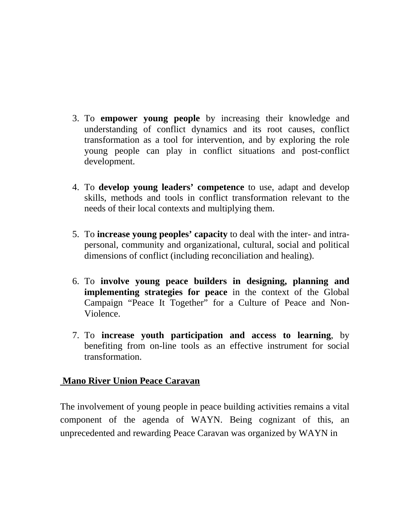- 3. To **empower young people** by increasing their knowledge and understanding of conflict dynamics and its root causes, conflict transformation as a tool for intervention, and by exploring the role young people can play in conflict situations and post-conflict development.
- 4. To **develop young leaders' competence** to use, adapt and develop skills, methods and tools in conflict transformation relevant to the needs of their local contexts and multiplying them.
- 5. To **increase young peoples' capacity** to deal with the inter- and intrapersonal, community and organizational, cultural, social and political dimensions of conflict (including reconciliation and healing).
- 6. To **involve young peace builders in designing, planning and implementing strategies for peace** in the context of the Global Campaign "Peace It Together" for a Culture of Peace and Non-Violence.
- 7. To **increase youth participation and access to learning**, by benefiting from on-line tools as an effective instrument for social transformation.

# **Mano River Union Peace Caravan**

The involvement of young people in peace building activities remains a vital component of the agenda of WAYN. Being cognizant of this, an unprecedented and rewarding Peace Caravan was organized by WAYN in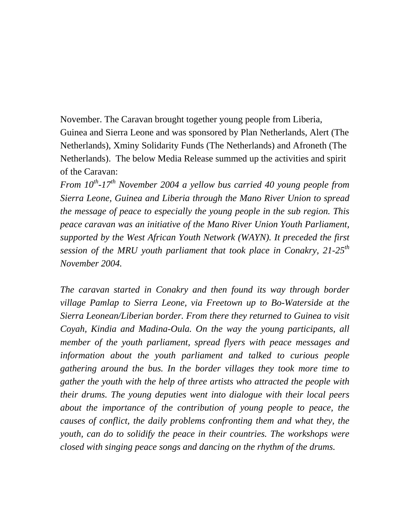November. The Caravan brought together young people from Liberia, Guinea and Sierra Leone and was sponsored by Plan Netherlands, Alert (The Netherlands), Xminy Solidarity Funds (The Netherlands) and Afroneth (The Netherlands). The below Media Release summed up the activities and spirit of the Caravan:

*From 10th-17th November 2004 a yellow bus carried 40 young people from Sierra Leone, Guinea and Liberia through the Mano River Union to spread the message of peace to especially the young people in the sub region. This peace caravan was an initiative of the Mano River Union Youth Parliament, supported by the West African Youth Network (WAYN). It preceded the first session of the MRU youth parliament that took place in Conakry, 21-25th November 2004.* 

*The caravan started in Conakry and then found its way through border village Pamlap to Sierra Leone, via Freetown up to Bo-Waterside at the Sierra Leonean/Liberian border. From there they returned to Guinea to visit Coyah, Kindia and Madina-Oula. On the way the young participants, all member of the youth parliament, spread flyers with peace messages and information about the youth parliament and talked to curious people gathering around the bus. In the border villages they took more time to gather the youth with the help of three artists who attracted the people with their drums. The young deputies went into dialogue with their local peers about the importance of the contribution of young people to peace, the causes of conflict, the daily problems confronting them and what they, the youth, can do to solidify the peace in their countries. The workshops were closed with singing peace songs and dancing on the rhythm of the drums.*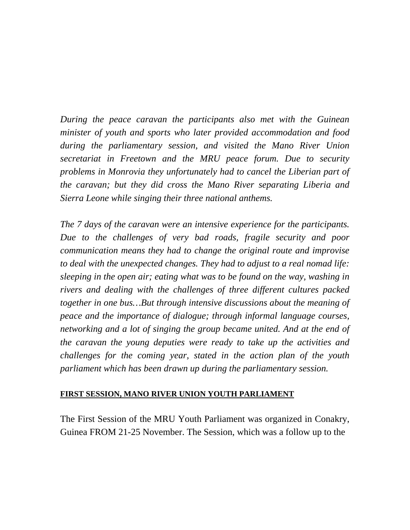*During the peace caravan the participants also met with the Guinean minister of youth and sports who later provided accommodation and food during the parliamentary session, and visited the Mano River Union secretariat in Freetown and the MRU peace forum. Due to security problems in Monrovia they unfortunately had to cancel the Liberian part of the caravan; but they did cross the Mano River separating Liberia and Sierra Leone while singing their three national anthems.* 

*The 7 days of the caravan were an intensive experience for the participants. Due to the challenges of very bad roads, fragile security and poor communication means they had to change the original route and improvise to deal with the unexpected changes. They had to adjust to a real nomad life: sleeping in the open air; eating what was to be found on the way, washing in rivers and dealing with the challenges of three different cultures packed together in one bus…But through intensive discussions about the meaning of peace and the importance of dialogue; through informal language courses, networking and a lot of singing the group became united. And at the end of the caravan the young deputies were ready to take up the activities and challenges for the coming year, stated in the action plan of the youth parliament which has been drawn up during the parliamentary session.*

#### **FIRST SESSION, MANO RIVER UNION YOUTH PARLIAMENT**

The First Session of the MRU Youth Parliament was organized in Conakry, Guinea FROM 21-25 November. The Session, which was a follow up to the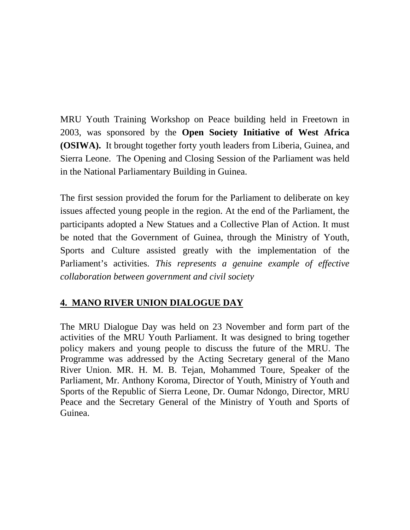MRU Youth Training Workshop on Peace building held in Freetown in 2003, was sponsored by the **Open Society Initiative of West Africa (OSIWA).** It brought together forty youth leaders from Liberia, Guinea, and Sierra Leone. The Opening and Closing Session of the Parliament was held in the National Parliamentary Building in Guinea.

The first session provided the forum for the Parliament to deliberate on key issues affected young people in the region. At the end of the Parliament, the participants adopted a New Statues and a Collective Plan of Action. It must be noted that the Government of Guinea, through the Ministry of Youth, Sports and Culture assisted greatly with the implementation of the Parliament's activities. *This represents a genuine example of effective collaboration between government and civil society* 

# **4. MANO RIVER UNION DIALOGUE DAY**

The MRU Dialogue Day was held on 23 November and form part of the activities of the MRU Youth Parliament. It was designed to bring together policy makers and young people to discuss the future of the MRU. The Programme was addressed by the Acting Secretary general of the Mano River Union. MR. H. M. B. Tejan, Mohammed Toure, Speaker of the Parliament, Mr. Anthony Koroma, Director of Youth, Ministry of Youth and Sports of the Republic of Sierra Leone, Dr. Oumar Ndongo, Director, MRU Peace and the Secretary General of the Ministry of Youth and Sports of Guinea.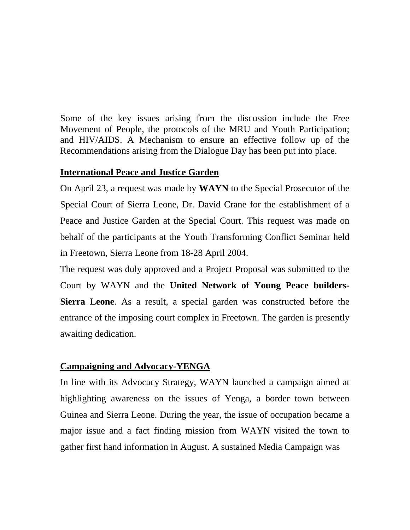Some of the key issues arising from the discussion include the Free Movement of People, the protocols of the MRU and Youth Participation; and HIV/AIDS. A Mechanism to ensure an effective follow up of the Recommendations arising from the Dialogue Day has been put into place.

# **International Peace and Justice Garden**

On April 23, a request was made by **WAYN** to the Special Prosecutor of the Special Court of Sierra Leone, Dr. David Crane for the establishment of a Peace and Justice Garden at the Special Court. This request was made on behalf of the participants at the Youth Transforming Conflict Seminar held in Freetown, Sierra Leone from 18-28 April 2004.

The request was duly approved and a Project Proposal was submitted to the Court by WAYN and the **United Network of Young Peace builders-Sierra Leone**. As a result, a special garden was constructed before the entrance of the imposing court complex in Freetown. The garden is presently awaiting dedication.

# **Campaigning and Advocacy-YENGA**

In line with its Advocacy Strategy, WAYN launched a campaign aimed at highlighting awareness on the issues of Yenga, a border town between Guinea and Sierra Leone. During the year, the issue of occupation became a major issue and a fact finding mission from WAYN visited the town to gather first hand information in August. A sustained Media Campaign was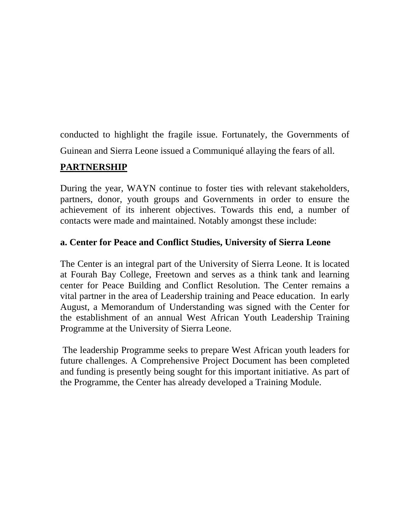conducted to highlight the fragile issue. Fortunately, the Governments of Guinean and Sierra Leone issued a Communiqué allaying the fears of all.

# **PARTNERSHIP**

During the year, WAYN continue to foster ties with relevant stakeholders, partners, donor, youth groups and Governments in order to ensure the achievement of its inherent objectives. Towards this end, a number of contacts were made and maintained. Notably amongst these include:

# **a. Center for Peace and Conflict Studies, University of Sierra Leone**

The Center is an integral part of the University of Sierra Leone. It is located at Fourah Bay College, Freetown and serves as a think tank and learning center for Peace Building and Conflict Resolution. The Center remains a vital partner in the area of Leadership training and Peace education. In early August, a Memorandum of Understanding was signed with the Center for the establishment of an annual West African Youth Leadership Training Programme at the University of Sierra Leone.

 The leadership Programme seeks to prepare West African youth leaders for future challenges. A Comprehensive Project Document has been completed and funding is presently being sought for this important initiative. As part of the Programme, the Center has already developed a Training Module.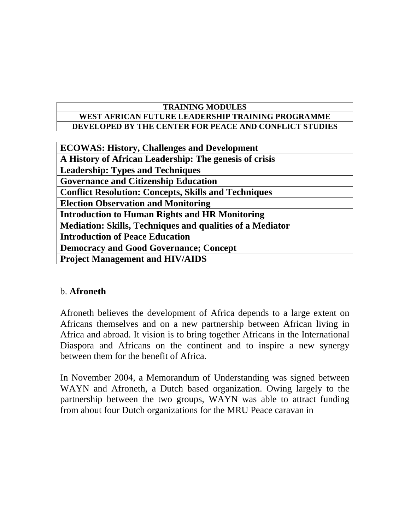#### **TRAINING MODULES WEST AFRICAN FUTURE LEADERSHIP TRAINING PROGRAMME DEVELOPED BY THE CENTER FOR PEACE AND CONFLICT STUDIES**

| <b>ECOWAS: History, Challenges and Development</b>               |
|------------------------------------------------------------------|
| A History of African Leadership: The genesis of crisis           |
| <b>Leadership: Types and Techniques</b>                          |
| <b>Governance and Citizenship Education</b>                      |
| <b>Conflict Resolution: Concepts, Skills and Techniques</b>      |
| <b>Election Observation and Monitoring</b>                       |
| <b>Introduction to Human Rights and HR Monitoring</b>            |
| <b>Mediation: Skills, Techniques and qualities of a Mediator</b> |
| <b>Introduction of Peace Education</b>                           |
| <b>Democracy and Good Governance; Concept</b>                    |
| <b>Project Management and HIV/AIDS</b>                           |
|                                                                  |

# b. **Afroneth**

Afroneth believes the development of Africa depends to a large extent on Africans themselves and on a new partnership between African living in Africa and abroad. It vision is to bring together Africans in the International Diaspora and Africans on the continent and to inspire a new synergy between them for the benefit of Africa.

In November 2004, a Memorandum of Understanding was signed between WAYN and Afroneth, a Dutch based organization. Owing largely to the partnership between the two groups, WAYN was able to attract funding from about four Dutch organizations for the MRU Peace caravan in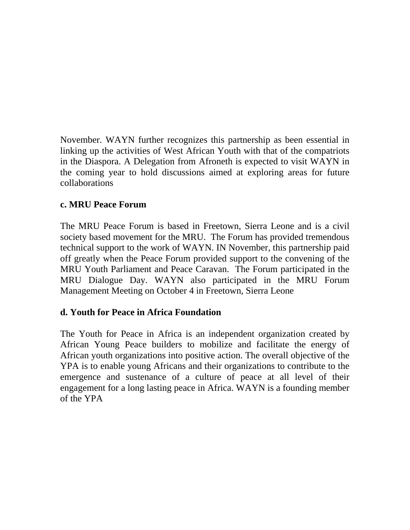November. WAYN further recognizes this partnership as been essential in linking up the activities of West African Youth with that of the compatriots in the Diaspora. A Delegation from Afroneth is expected to visit WAYN in the coming year to hold discussions aimed at exploring areas for future collaborations

# **c. MRU Peace Forum**

The MRU Peace Forum is based in Freetown, Sierra Leone and is a civil society based movement for the MRU. The Forum has provided tremendous technical support to the work of WAYN. IN November, this partnership paid off greatly when the Peace Forum provided support to the convening of the MRU Youth Parliament and Peace Caravan. The Forum participated in the MRU Dialogue Day. WAYN also participated in the MRU Forum Management Meeting on October 4 in Freetown, Sierra Leone

# **d. Youth for Peace in Africa Foundation**

The Youth for Peace in Africa is an independent organization created by African Young Peace builders to mobilize and facilitate the energy of African youth organizations into positive action. The overall objective of the YPA is to enable young Africans and their organizations to contribute to the emergence and sustenance of a culture of peace at all level of their engagement for a long lasting peace in Africa. WAYN is a founding member of the YPA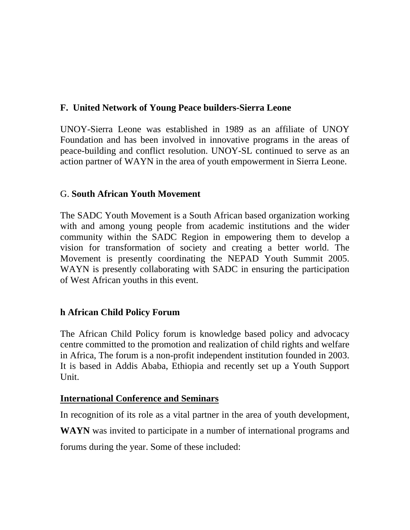# **F. United Network of Young Peace builders-Sierra Leone**

UNOY-Sierra Leone was established in 1989 as an affiliate of UNOY Foundation and has been involved in innovative programs in the areas of peace-building and conflict resolution. UNOY-SL continued to serve as an action partner of WAYN in the area of youth empowerment in Sierra Leone.

# G. **South African Youth Movement**

The SADC Youth Movement is a South African based organization working with and among young people from academic institutions and the wider community within the SADC Region in empowering them to develop a vision for transformation of society and creating a better world. The Movement is presently coordinating the NEPAD Youth Summit 2005. WAYN is presently collaborating with SADC in ensuring the participation of West African youths in this event.

# **h African Child Policy Forum**

The African Child Policy forum is knowledge based policy and advocacy centre committed to the promotion and realization of child rights and welfare in Africa, The forum is a non-profit independent institution founded in 2003. It is based in Addis Ababa, Ethiopia and recently set up a Youth Support Unit.

# **International Conference and Seminars**

In recognition of its role as a vital partner in the area of youth development,

**WAYN** was invited to participate in a number of international programs and

forums during the year. Some of these included: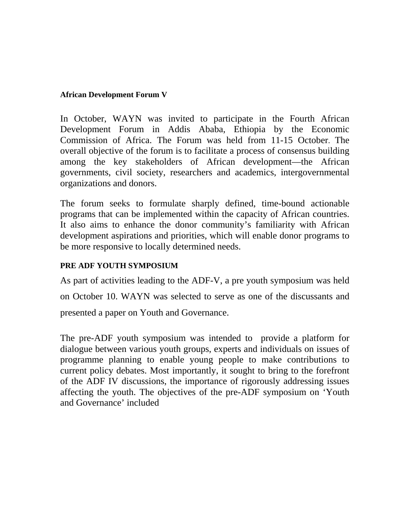#### **African Development Forum V**

In October, WAYN was invited to participate in the Fourth African Development Forum in Addis Ababa, Ethiopia by the Economic Commission of Africa. The Forum was held from 11-15 October. The overall objective of the forum is to facilitate a process of consensus building among the key stakeholders of African development—the African governments, civil society, researchers and academics, intergovernmental organizations and donors.

The forum seeks to formulate sharply defined, time-bound actionable programs that can be implemented within the capacity of African countries. It also aims to enhance the donor community's familiarity with African development aspirations and priorities, which will enable donor programs to be more responsive to locally determined needs.

#### **PRE ADF YOUTH SYMPOSIUM**

As part of activities leading to the ADF-V, a pre youth symposium was held

on October 10. WAYN was selected to serve as one of the discussants and

presented a paper on Youth and Governance.

The pre-ADF youth symposium was intended to provide a platform for dialogue between various youth groups, experts and individuals on issues of programme planning to enable young people to make contributions to current policy debates. Most importantly, it sought to bring to the forefront of the ADF IV discussions, the importance of rigorously addressing issues affecting the youth. The objectives of the pre-ADF symposium on 'Youth and Governance' included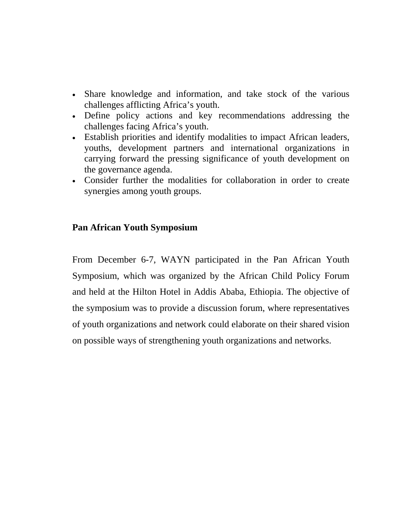- Share knowledge and information, and take stock of the various challenges afflicting Africa's youth.
- Define policy actions and key recommendations addressing the challenges facing Africa's youth.
- Establish priorities and identify modalities to impact African leaders, youths, development partners and international organizations in carrying forward the pressing significance of youth development on the governance agenda.
- Consider further the modalities for collaboration in order to create synergies among youth groups.

# **Pan African Youth Symposium**

From December 6-7, WAYN participated in the Pan African Youth Symposium, which was organized by the African Child Policy Forum and held at the Hilton Hotel in Addis Ababa, Ethiopia. The objective of the symposium was to provide a discussion forum, where representatives of youth organizations and network could elaborate on their shared vision on possible ways of strengthening youth organizations and networks.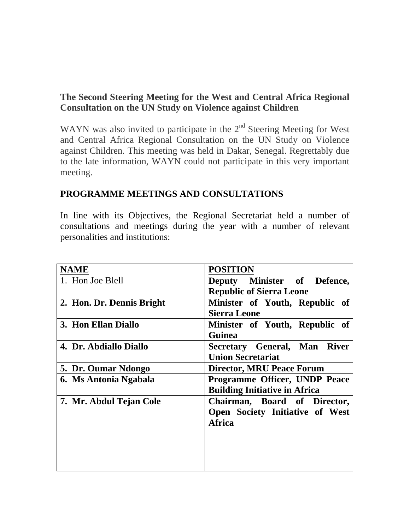# **The Second Steering Meeting for the West and Central Africa Regional Consultation on the UN Study on Violence against Children**

WAYN was also invited to participate in the  $2<sup>nd</sup>$  Steering Meeting for West and Central Africa Regional Consultation on the UN Study on Violence against Children. This meeting was held in Dakar, Senegal. Regrettably due to the late information, WAYN could not participate in this very important meeting.

# **PROGRAMME MEETINGS AND CONSULTATIONS**

In line with its Objectives, the Regional Secretariat held a number of consultations and meetings during the year with a number of relevant personalities and institutions:

| <b>NAME</b>               | <b>POSITION</b>                      |  |  |
|---------------------------|--------------------------------------|--|--|
| 1. Hon Joe Blell          | Deputy Minister of Defence,          |  |  |
|                           | <b>Republic of Sierra Leone</b>      |  |  |
| 2. Hon. Dr. Dennis Bright | Minister of Youth, Republic of       |  |  |
|                           | <b>Sierra Leone</b>                  |  |  |
| 3. Hon Ellan Diallo       | Minister of Youth, Republic of       |  |  |
|                           | <b>Guinea</b>                        |  |  |
| 4. Dr. Abdiallo Diallo    | Secretary General, Man River         |  |  |
|                           | <b>Union Secretariat</b>             |  |  |
| 5. Dr. Oumar Ndongo       | <b>Director, MRU Peace Forum</b>     |  |  |
| 6. Ms Antonia Ngabala     | Programme Officer, UNDP Peace        |  |  |
|                           | <b>Building Initiative in Africa</b> |  |  |
| 7. Mr. Abdul Tejan Cole   | Chairman, Board of Director,         |  |  |
|                           | Open Society Initiative of West      |  |  |
|                           | <b>Africa</b>                        |  |  |
|                           |                                      |  |  |
|                           |                                      |  |  |
|                           |                                      |  |  |
|                           |                                      |  |  |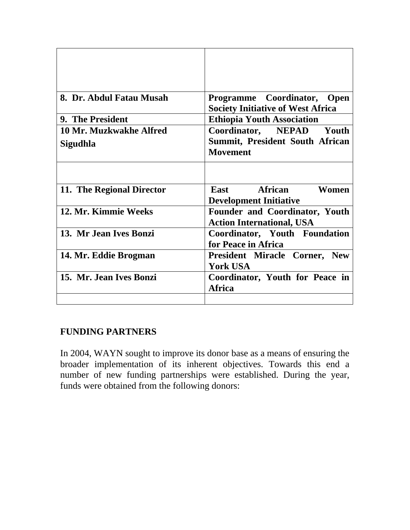| 8. Dr. Abdul Fatau Musah  | Programme Coordinator, Open<br><b>Society Initiative of West Africa</b>   |  |  |
|---------------------------|---------------------------------------------------------------------------|--|--|
| 9. The President          | <b>Ethiopia Youth Association</b>                                         |  |  |
| 10 Mr. Muzkwakhe Alfred   | Coordinator, NEPAD Youth                                                  |  |  |
| Sigudhla                  | <b>Summit, President South African</b><br><b>Movement</b>                 |  |  |
|                           |                                                                           |  |  |
| 11. The Regional Director | East African<br>Women<br><b>Development Initiative</b>                    |  |  |
| 12. Mr. Kimmie Weeks      | <b>Founder and Coordinator, Youth</b><br><b>Action International, USA</b> |  |  |
| 13. Mr Jean Ives Bonzi    | Coordinator, Youth Foundation<br>for Peace in Africa                      |  |  |
| 14. Mr. Eddie Brogman     | <b>President Miracle Corner, New</b><br><b>York USA</b>                   |  |  |
| 15. Mr. Jean Ives Bonzi   | Coordinator, Youth for Peace in<br><b>Africa</b>                          |  |  |
|                           |                                                                           |  |  |

# **FUNDING PARTNERS**

In 2004, WAYN sought to improve its donor base as a means of ensuring the broader implementation of its inherent objectives. Towards this end a number of new funding partnerships were established. During the year, funds were obtained from the following donors: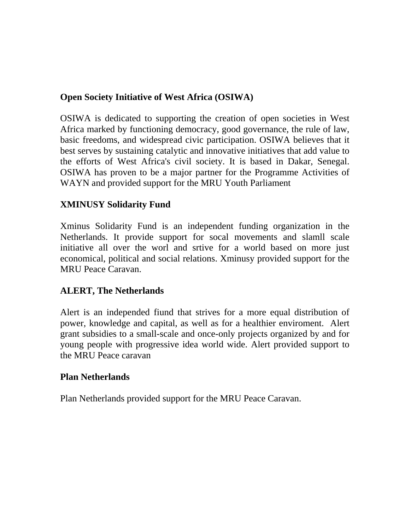# **Open Society Initiative of West Africa (OSIWA)**

OSIWA is dedicated to supporting the creation of open societies in West Africa marked by functioning democracy, good governance, the rule of law, basic freedoms, and widespread civic participation. OSIWA believes that it best serves by sustaining catalytic and innovative initiatives that add value to the efforts of West Africa's civil society. It is based in Dakar, Senegal. OSIWA has proven to be a major partner for the Programme Activities of WAYN and provided support for the MRU Youth Parliament

# **XMINUSY Solidarity Fund**

Xminus Solidarity Fund is an independent funding organization in the Netherlands. It provide support for socal movements and slamll scale initiative all over the worl and srtive for a world based on more just economical, political and social relations. Xminusy provided support for the MRU Peace Caravan.

# **ALERT, The Netherlands**

Alert is an independed fiund that strives for a more equal distribution of power, knowledge and capital, as well as for a healthier enviroment. Alert grant subsidies to a small-scale and once-only projects organized by and for young people with progressive idea world wide. Alert provided support to the MRU Peace caravan

# **Plan Netherlands**

Plan Netherlands provided support for the MRU Peace Caravan.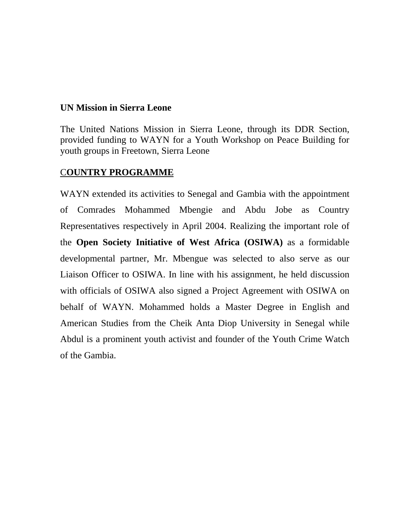#### **UN Mission in Sierra Leone**

The United Nations Mission in Sierra Leone, through its DDR Section, provided funding to WAYN for a Youth Workshop on Peace Building for youth groups in Freetown, Sierra Leone

# C**OUNTRY PROGRAMME**

WAYN extended its activities to Senegal and Gambia with the appointment of Comrades Mohammed Mbengie and Abdu Jobe as Country Representatives respectively in April 2004. Realizing the important role of the **Open Society Initiative of West Africa (OSIWA)** as a formidable developmental partner, Mr. Mbengue was selected to also serve as our Liaison Officer to OSIWA. In line with his assignment, he held discussion with officials of OSIWA also signed a Project Agreement with OSIWA on behalf of WAYN. Mohammed holds a Master Degree in English and American Studies from the Cheik Anta Diop University in Senegal while Abdul is a prominent youth activist and founder of the Youth Crime Watch of the Gambia.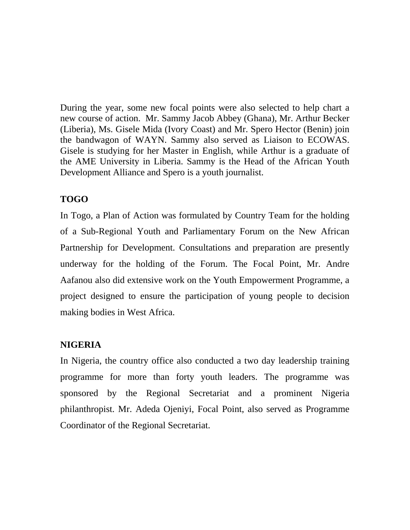During the year, some new focal points were also selected to help chart a new course of action. Mr. Sammy Jacob Abbey (Ghana), Mr. Arthur Becker (Liberia), Ms. Gisele Mida (Ivory Coast) and Mr. Spero Hector (Benin) join the bandwagon of WAYN. Sammy also served as Liaison to ECOWAS. Gisele is studying for her Master in English, while Arthur is a graduate of the AME University in Liberia. Sammy is the Head of the African Youth Development Alliance and Spero is a youth journalist.

# **TOGO**

In Togo, a Plan of Action was formulated by Country Team for the holding of a Sub-Regional Youth and Parliamentary Forum on the New African Partnership for Development. Consultations and preparation are presently underway for the holding of the Forum. The Focal Point, Mr. Andre Aafanou also did extensive work on the Youth Empowerment Programme, a project designed to ensure the participation of young people to decision making bodies in West Africa.

# **NIGERIA**

In Nigeria, the country office also conducted a two day leadership training programme for more than forty youth leaders. The programme was sponsored by the Regional Secretariat and a prominent Nigeria philanthropist. Mr. Adeda Ojeniyi, Focal Point, also served as Programme Coordinator of the Regional Secretariat.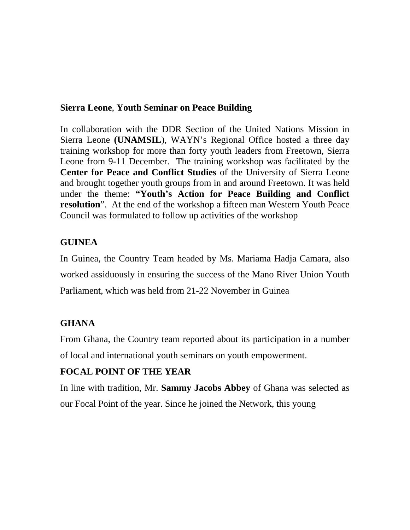# **Sierra Leone**, **Youth Seminar on Peace Building**

In collaboration with the DDR Section of the United Nations Mission in Sierra Leone **(UNAMSIL**), WAYN's Regional Office hosted a three day training workshop for more than forty youth leaders from Freetown, Sierra Leone from 9-11 December. The training workshop was facilitated by the **Center for Peace and Conflict Studies** of the University of Sierra Leone and brought together youth groups from in and around Freetown. It was held under the theme: **"Youth's Action for Peace Building and Conflict resolution**". At the end of the workshop a fifteen man Western Youth Peace Council was formulated to follow up activities of the workshop

# **GUINEA**

In Guinea, the Country Team headed by Ms. Mariama Hadja Camara, also worked assiduously in ensuring the success of the Mano River Union Youth Parliament, which was held from 21-22 November in Guinea

# **GHANA**

From Ghana, the Country team reported about its participation in a number of local and international youth seminars on youth empowerment.

# **FOCAL POINT OF THE YEAR**

In line with tradition, Mr. **Sammy Jacobs Abbey** of Ghana was selected as our Focal Point of the year. Since he joined the Network, this young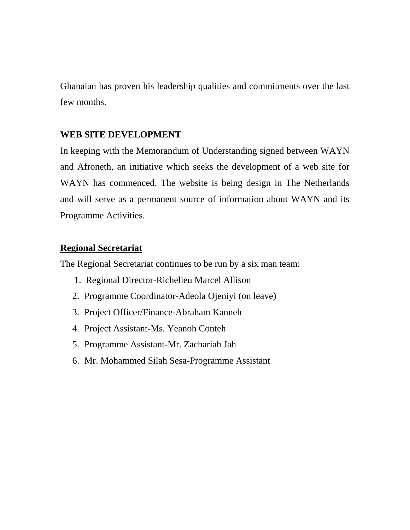Ghanaian has proven his leadership qualities and commitments over the last few months.

# **WEB SITE DEVELOPMENT**

In keeping with the Memorandum of Understanding signed between WAYN and Afroneth, an initiative which seeks the development of a web site for WAYN has commenced. The website is being design in The Netherlands and will serve as a permanent source of information about WAYN and its Programme Activities.

# **Regional Secretariat**

The Regional Secretariat continues to be run by a six man team:

- 1. Regional Director-Richelieu Marcel Allison
- 2. Programme Coordinator-Adeola Ojeniyi (on leave)
- 3. Project Officer/Finance-Abraham Kanneh
- 4. Project Assistant-Ms. Yeanoh Conteh
- 5. Programme Assistant-Mr. Zachariah Jah
- 6. Mr. Mohammed Silah Sesa-Programme Assistant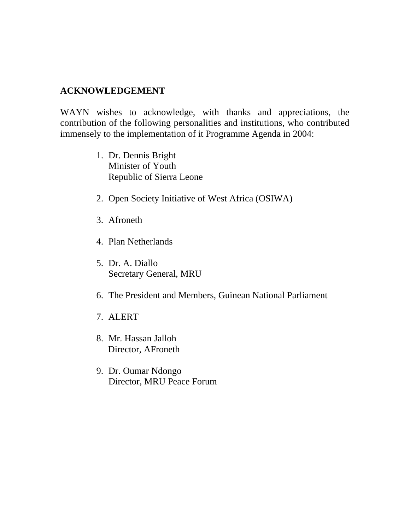# **ACKNOWLEDGEMENT**

WAYN wishes to acknowledge, with thanks and appreciations, the contribution of the following personalities and institutions, who contributed immensely to the implementation of it Programme Agenda in 2004:

- 1. Dr. Dennis Bright Minister of Youth Republic of Sierra Leone
- 2. Open Society Initiative of West Africa (OSIWA)
- 3. Afroneth
- 4. Plan Netherlands
- 5. Dr. A. Diallo Secretary General, MRU
- 6. The President and Members, Guinean National Parliament
- 7. ALERT
- 8. Mr. Hassan Jalloh Director, AFroneth
- 9. Dr. Oumar Ndongo Director, MRU Peace Forum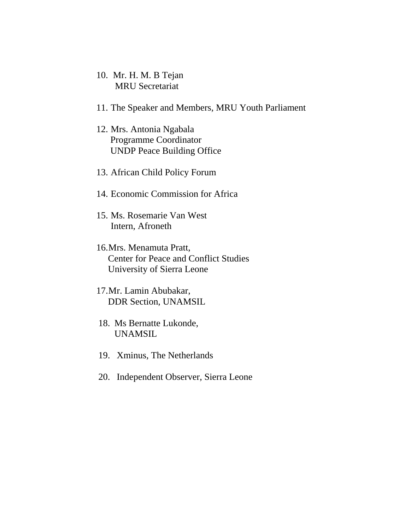- 10. Mr. H. M. B Tejan MRU Secretariat
- 11. The Speaker and Members, MRU Youth Parliament
- 12. Mrs. Antonia Ngabala Programme Coordinator UNDP Peace Building Office
- 13. African Child Policy Forum
- 14. Economic Commission for Africa
- 15. Ms. Rosemarie Van West Intern, Afroneth
- 16. Mrs. Menamuta Pratt, Center for Peace and Conflict Studies University of Sierra Leone
- 17. Mr. Lamin Abubakar, DDR Section, UNAMSIL
- 18. Ms Bernatte Lukonde, UNAMSIL
- 19. Xminus, The Netherlands
- 20. Independent Observer, Sierra Leone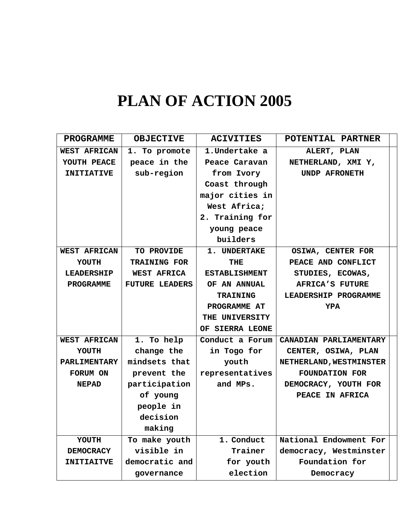# **PLAN OF ACTION 2005**

| <b>PROGRAMME</b>    | <b>OBJECTIVE</b>      | <b>ACIVITIES</b>     | POTENTIAL PARTNER       |
|---------------------|-----------------------|----------------------|-------------------------|
| <b>WEST AFRICAN</b> | 1. To promote         | 1. Undertake a       | ALERT, PLAN             |
| YOUTH PEACE         | peace in the          | Peace Caravan        | NETHERLAND, XMI Y,      |
| <b>INITIATIVE</b>   | sub-region            | from Ivory           | <b>UNDP AFRONETH</b>    |
|                     |                       | Coast through        |                         |
|                     |                       | major cities in      |                         |
|                     |                       | West Africa;         |                         |
|                     |                       | 2. Training for      |                         |
|                     |                       | young peace          |                         |
|                     |                       | builders             |                         |
| <b>WEST AFRICAN</b> | TO PROVIDE            | 1. UNDERTAKE         | OSIWA, CENTER FOR       |
| YOUTH               | <b>TRAINING FOR</b>   | THE                  | PEACE AND CONFLICT      |
| <b>LEADERSHIP</b>   | <b>WEST AFRICA</b>    | <b>ESTABLISHMENT</b> | STUDIES, ECOWAS,        |
| <b>PROGRAMME</b>    | <b>FUTURE LEADERS</b> | OF AN ANNUAL         | AFRICA'S FUTURE         |
|                     |                       | <b>TRAINING</b>      | LEADERSHIP PROGRAMME    |
|                     |                       | PROGRAMME AT         | <b>YPA</b>              |
|                     |                       | THE UNIVERSITY       |                         |
|                     |                       | OF SIERRA LEONE      |                         |
| <b>WEST AFRICAN</b> | 1. To help            | Conduct a Forum      | CANADIAN PARLIAMENTARY  |
| <b>YOUTH</b>        | change the            | in Togo for          | CENTER, OSIWA, PLAN     |
| <b>PARLIMENTARY</b> | mindsets that         | youth                | NETHERLAND, WESTMINSTER |
| FORUM ON            | prevent the           | representatives      | <b>FOUNDATION FOR</b>   |
| <b>NEPAD</b>        | participation         | and MPs.             | DEMOCRACY, YOUTH FOR    |
|                     | of young              |                      | PEACE IN AFRICA         |
|                     | people in             |                      |                         |
|                     | decision              |                      |                         |
|                     | making                |                      |                         |
| YOUTH               | To make youth         | 1. Conduct           | National Endowment For  |
| <b>DEMOCRACY</b>    | visible in            | Trainer              | democracy, Westminster  |
| <b>INITIAITVE</b>   | democratic and        | for youth            | Foundation for          |
|                     | governance            | election             | Democracy               |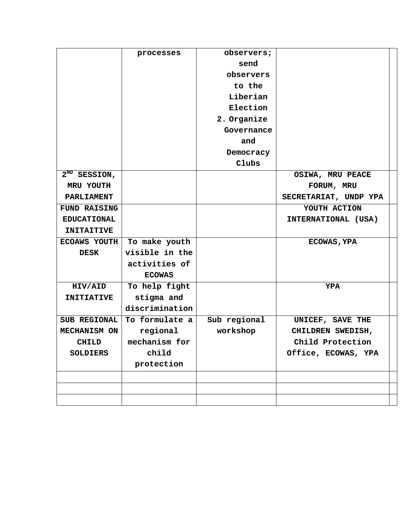|                     | processes      | observers;   |                       |
|---------------------|----------------|--------------|-----------------------|
|                     |                | send         |                       |
|                     |                | observers    |                       |
|                     |                | to the       |                       |
|                     |                | Liberian     |                       |
|                     |                | Election     |                       |
|                     |                | 2. Organize  |                       |
|                     |                | Governance   |                       |
|                     |                | and          |                       |
|                     |                | Democracy    |                       |
|                     |                | Clubs        |                       |
| $2^{ND}$ SESSION,   |                |              | OSIWA, MRU PEACE      |
| MRU YOUTH           |                |              | FORUM, MRU            |
| <b>PARLIAMENT</b>   |                |              | SECRETARIAT, UNDP YPA |
| <b>FUND RAISING</b> |                |              | YOUTH ACTION          |
| <b>EDUCATIONAL</b>  |                |              | INTERNATIONAL (USA)   |
| <b>INITAITIVE</b>   |                |              |                       |
| <b>ECOAWS YOUTH</b> | To make youth  |              | <b>ECOWAS, YPA</b>    |
| <b>DESK</b>         | visible in the |              |                       |
|                     | activities of  |              |                       |
|                     | <b>ECOWAS</b>  |              |                       |
| HIV/AID             | To help fight  |              | <b>YPA</b>            |
| <b>INITIATIVE</b>   | stigma and     |              |                       |
|                     | discrimination |              |                       |
| <b>SUB REGIONAL</b> | To formulate a | Sub regional | UNICEF, SAVE THE      |
| MECHANISM ON        | regional       | workshop     | CHILDREN SWEDISH,     |
| <b>CHILD</b>        | mechanism for  |              | Child Protection      |
| <b>SOLDIERS</b>     | child          |              | Office, ECOWAS, YPA   |
|                     | protection     |              |                       |
|                     |                |              |                       |
|                     |                |              |                       |
|                     |                |              |                       |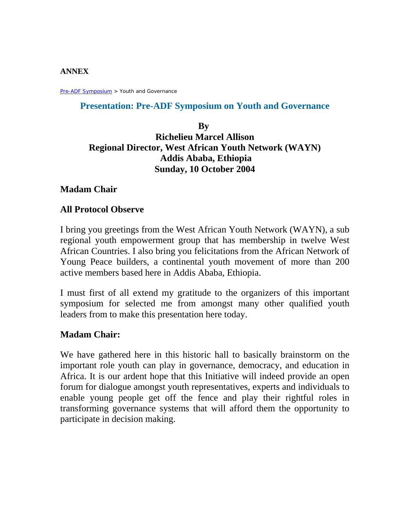#### **ANNEX**

Pre-ADF Symposium > Youth and Governance

#### **Presentation: Pre-ADF Symposium on Youth and Governance**

# **By Richelieu Marcel Allison Regional Director, West African Youth Network (WAYN) Addis Ababa, Ethiopia Sunday, 10 October 2004**

#### **Madam Chair**

#### **All Protocol Observe**

I bring you greetings from the West African Youth Network (WAYN), a sub regional youth empowerment group that has membership in twelve West African Countries. I also bring you felicitations from the African Network of Young Peace builders, a continental youth movement of more than 200 active members based here in Addis Ababa, Ethiopia.

I must first of all extend my gratitude to the organizers of this important symposium for selected me from amongst many other qualified youth leaders from to make this presentation here today.

#### **Madam Chair:**

We have gathered here in this historic hall to basically brainstorm on the important role youth can play in governance, democracy, and education in Africa. It is our ardent hope that this Initiative will indeed provide an open forum for dialogue amongst youth representatives, experts and individuals to enable young people get off the fence and play their rightful roles in transforming governance systems that will afford them the opportunity to participate in decision making.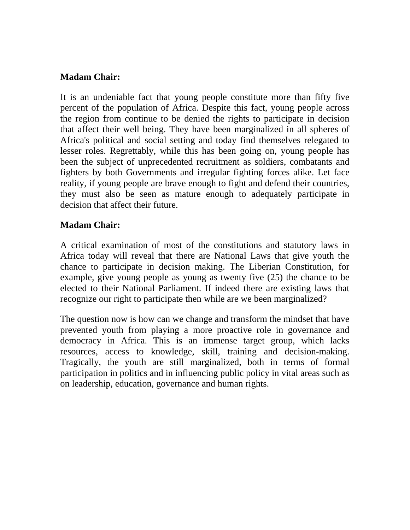# **Madam Chair:**

It is an undeniable fact that young people constitute more than fifty five percent of the population of Africa. Despite this fact, young people across the region from continue to be denied the rights to participate in decision that affect their well being. They have been marginalized in all spheres of Africa's political and social setting and today find themselves relegated to lesser roles. Regrettably, while this has been going on, young people has been the subject of unprecedented recruitment as soldiers, combatants and fighters by both Governments and irregular fighting forces alike. Let face reality, if young people are brave enough to fight and defend their countries, they must also be seen as mature enough to adequately participate in decision that affect their future.

# **Madam Chair:**

A critical examination of most of the constitutions and statutory laws in Africa today will reveal that there are National Laws that give youth the chance to participate in decision making. The Liberian Constitution, for example, give young people as young as twenty five (25) the chance to be elected to their National Parliament. If indeed there are existing laws that recognize our right to participate then while are we been marginalized?

The question now is how can we change and transform the mindset that have prevented youth from playing a more proactive role in governance and democracy in Africa. This is an immense target group, which lacks resources, access to knowledge, skill, training and decision-making. Tragically, the youth are still marginalized, both in terms of formal participation in politics and in influencing public policy in vital areas such as on leadership, education, governance and human rights.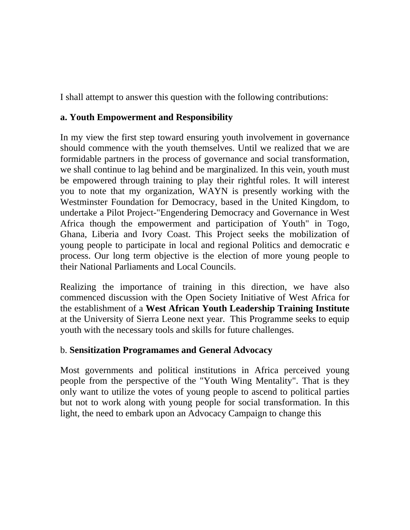I shall attempt to answer this question with the following contributions:

# **a. Youth Empowerment and Responsibility**

In my view the first step toward ensuring youth involvement in governance should commence with the youth themselves. Until we realized that we are formidable partners in the process of governance and social transformation, we shall continue to lag behind and be marginalized. In this vein, youth must be empowered through training to play their rightful roles. It will interest you to note that my organization, WAYN is presently working with the Westminster Foundation for Democracy, based in the United Kingdom, to undertake a Pilot Project-"Engendering Democracy and Governance in West Africa though the empowerment and participation of Youth" in Togo, Ghana, Liberia and Ivory Coast. This Project seeks the mobilization of young people to participate in local and regional Politics and democratic e process. Our long term objective is the election of more young people to their National Parliaments and Local Councils.

Realizing the importance of training in this direction, we have also commenced discussion with the Open Society Initiative of West Africa for the establishment of a **West African Youth Leadership Training Institute**  at the University of Sierra Leone next year. This Programme seeks to equip youth with the necessary tools and skills for future challenges.

# b. **Sensitization Programames and General Advocacy**

Most governments and political institutions in Africa perceived young people from the perspective of the "Youth Wing Mentality". That is they only want to utilize the votes of young people to ascend to political parties but not to work along with young people for social transformation. In this light, the need to embark upon an Advocacy Campaign to change this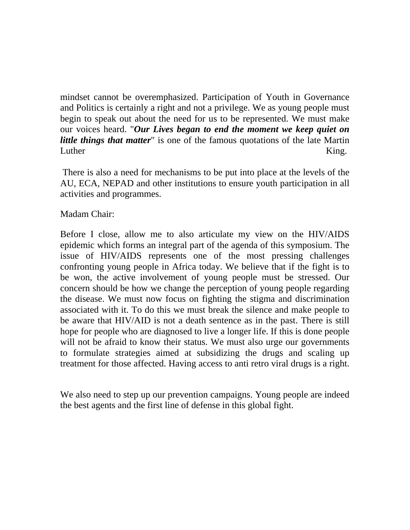mindset cannot be overemphasized. Participation of Youth in Governance and Politics is certainly a right and not a privilege. We as young people must begin to speak out about the need for us to be represented. We must make our voices heard. "*Our Lives began to end the moment we keep quiet on little things that matter*" is one of the famous quotations of the late Martin Luther King.

 There is also a need for mechanisms to be put into place at the levels of the AU, ECA, NEPAD and other institutions to ensure youth participation in all activities and programmes.

# Madam Chair:

Before I close, allow me to also articulate my view on the HIV/AIDS epidemic which forms an integral part of the agenda of this symposium. The issue of HIV/AIDS represents one of the most pressing challenges confronting young people in Africa today. We believe that if the fight is to be won, the active involvement of young people must be stressed. Our concern should be how we change the perception of young people regarding the disease. We must now focus on fighting the stigma and discrimination associated with it. To do this we must break the silence and make people to be aware that HIV/AID is not a death sentence as in the past. There is still hope for people who are diagnosed to live a longer life. If this is done people will not be afraid to know their status. We must also urge our governments to formulate strategies aimed at subsidizing the drugs and scaling up treatment for those affected. Having access to anti retro viral drugs is a right.

We also need to step up our prevention campaigns. Young people are indeed the best agents and the first line of defense in this global fight.